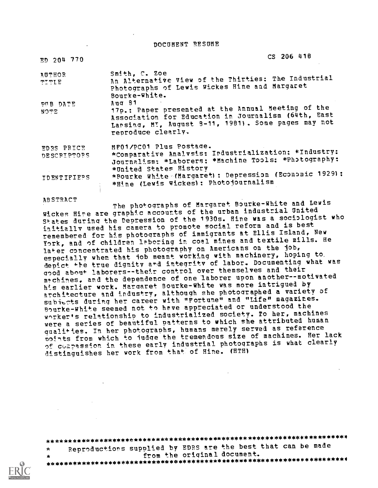DOCUMENT RESUME

| $ED$ 204 770                     | $CS$ 206 418                                                                                                                                                                                       |
|----------------------------------|----------------------------------------------------------------------------------------------------------------------------------------------------------------------------------------------------|
| AUTHOR<br>TT TIE                 | Smith, C. Zoe<br>An Alternative View of the Thirties: The Industrial<br>Photographs of Lewis Wickes Hine and Margaret<br>Bourke-White.                                                             |
| PUB DATE<br>NOTE                 | $Auq$ 81<br>17p.: Paper presented at the Annual Meeting of the<br>Association for Education in Journalism (64th, East<br>Lansing, MI, August 8-11, 1981). Some pages may not<br>reproduce clearly. |
| EDRS PRICE<br><b>DESCRIPTORS</b> | MF01/PC01 Plus Postage.<br>*Comparative Analysis: Industrialization: *Industry:<br>Journalism: *Laborers: *Machine Tools: *Photography:<br>*United States History                                  |
| <b>IDENTIFIEPS</b>               | *Bourke White (Margaret): Depression (Economic 1929):<br>*Hine (Lewis Wickes): Photojournalism                                                                                                     |

ABSTRACT

The photographs of Margaret Bourke-White and Lewis Wickes Hine are graphic accounts of the urban. industrial United States during the Depression of the 1930s. Hine was a sociologist who initially used his camera to promote social reform and is best remembered for his photographs of immigrants at Ellis Island, New York, and of children laboring in coal mines and textile mills. He later concentrated his photography on Americans on the job, especially when that job meant working with machinery, hoping to, depict the true dignity and integrity of labor. Documenting what was good about laborers--their control over themselves and their machines, and the dependence of one laborer upon another--motivated his earlier work. Margaret Bourke-White was more intrigued by architecture and industry, although she photographed a variety of subiects during her career with "Fortune" and "Life" magazines. Bourke-White seemed not to have appreciated or understood the worker's relationship to industrialized society. To her, machines were a series of beautiful patterns to which she attributed human oualit.les. In her photographs, hiamans merely served as reference points from which to judge the tremendous size of machines. Her lack of compassion in these early industrial photographs is what clearly distinguishes her work from that of Hine. (HTH1

\*\*\*\*\*\*\*\*\*\*\*\*\*\*\*\*\*\*\*\*\*\*\*\*\*\*\*\*\*\*\*\*\*\*\*\*\*\*\*\*\*\*\*\*\*\*\*\*\*\*\*\*\*\*\*\*\*\*\*\*\*\*\*\*\*\*\*\*o

Reproductions supplied by EDRS are the best that can be made from the original document.

\*\*\*\*\*\*\*\*\*\*\*\*\*\*\*\*\*\*\*\*\*\*\*\*\*\*\*\*\*\*\*\*\*\*\*\*\*\*\*\*\*\*\*\*\*\*\*\*\*\*\*\*\*\*\*\*\*\*\*\*\*\*\*\*\*\*\*\*4

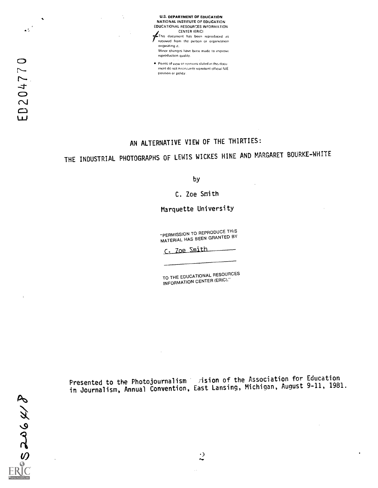

Points of view or opinions stated in this docul ment do not necessarily represent official NIE position or policy.

## AN ALTERNATIVE VIEW OF THE THIRTIES:

## THE INDUSTRIAL PHOTOGRAPHS OF LEWIS WICKES HINE AND MARGARET BOURKE-WHITE

by

C. Zoe Smith

Marquette University

"PERMISSION TO REPRODUCE THIS MATERIAL HAS BEEN GRANTED BY

C. Zoe Smith

TO THE EDUCATIONAL RESOURCES INFORMATION CENTER (ERIC)."

Presented to the Photojournalism vision of the Association for Education<br>Michigan August 9-11, 1981 in Journalism, Annual Convention, East Lansing, Michigan, August 9-11, 1981.

 $\ddot{\phantom{a}}$ 

 $\boldsymbol{\phi}^{(i)}$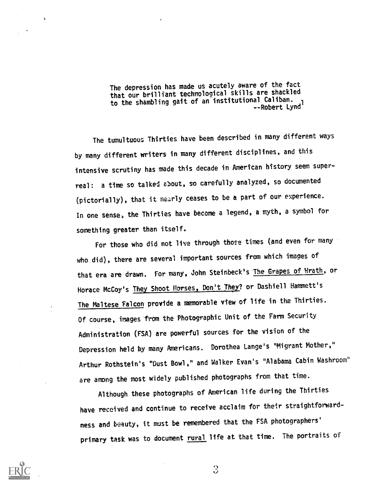The depression has made us acutely aware of the fact that our brilliant technological skills are shackled to the shambling gait of an institutional Caliban. --Robert Lynd'

The tumultuous Thirties have been described in many different ways by many different writers in many different disciplines, and this intensive scrutiny has made this decade in American history seem superreal: a time so talked about, so carefully analyzed, so documented (pictorially), that it nearly ceases to be a part of our experience. In one sense, the Thirties have become a legend, a myth, a symbol for something greater than itself.

For those who did not live through those times (and even for many who did), there are several important sources from which images of that era are drawn. For many, John Steinbeck's The Grapes of Hrath, or Horace McCoy's They Shoot Horses, Don't They? or Dashiell Hammett's The Maltese Falcon provide a memorable view of life in the Thirties. Of course, images from the Photographic Unit of the Farm Security Administration (FSA) are powerful sources for the vision of the Depression held by many Americans. Dorothea Lange's "Migrant Mother," Arthur Rothstein's "Oust Bowl," and Walker Evan's "Alabama Cabin Washroom' are among the most widely published photographs from that time.

Although these photographs of American life during the Thirties have received and continue to receive acclaim for their straightforwardness and beauty, it must be remembered that the FSA photographers' primary task was to document rural life at that time. The portraits of



ì.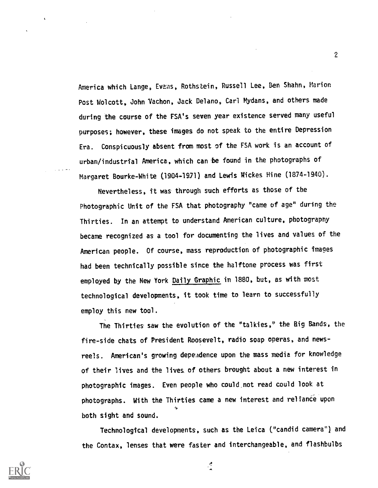America which Lange, Evens, Rothstein, Russell Lee, Ben Shahn, Marion Post Wolcott, John Vachon, Jack Delano, Carl Mydans, and others made during the course of the FSA's seven year existence served many useful purposes; however, these images do not speak to the entire Depression Era. Conspicuously absent from most of the FSA work is an account of urban/industrial America, which can be found in the photographs of Margaret Bourke-White (1904-1971) and Lewis Wickes Hine (1874-1940).

Nevertheless, it was through such efforts as those of the Photographic Unit of the FSA that photography "came of age" during the Thirties. In an attempt to understand American culture, photography became recognized as a tool for documenting the lives and values of the American people. Of course, mass reproduction of photographic Images had been technically possible since the halftone process was first employed by the New York Daily Graphic in 1880, but, as with most technological developments, it took time to learn to successfully employ this new tool.

The Thirties saw the evolution of the "talkies," the Big Bands, the fire-side chats of President Roosevelt, radio soap operas, and newsreels. American's growing dependence upon the mass media for knowledge of their lives and the lives of others brought about a new interest in photographic images. Even people who could not read could look at photographs. With the Thirties came a new interest and reliance upon both sight and sound.

Technological developments, such as the Leica ("candid camera") and the Contax, lenses that were faster and interchangeable, and flashbulbs



2

 $\frac{A}{4}$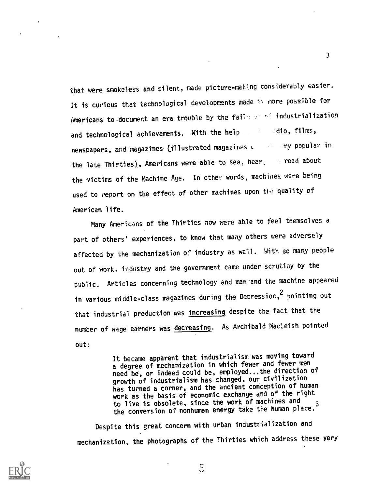that were smokeless and silent, made picture-making considerably easier. It is curious that technological developments made  $i \in \mathfrak{m}$ ore possible for Americans to document an era trouble by the fails as not industrialization and technological achievements. With the help and technological achievements. With the help and adio, films, newspapers, and magazines (illustrated magazines L compary popular in the late Thirties), Americans were able to see, hear, we read about the victims of the Machine Age. In other words, machines were being used to report on the effect of other machines upon the quality of American life.

Many Americans of the Thirties now were able to feel themselves a part of others' experiences, to know that many others were adversely affected by the mechanization of industry as well, With so many people out of work, industry and the government came under scrutiny by the public. Articles concerning technology and man and the machine appeared in various middle-class magazines during the Depression,<sup>2</sup> pointing out that industrial production was increasing despite the fact that the number of wage earners was decreasing. As Archibald MacLeish pointed out:

> It became apparent that industrialism was moving toward a degree of mechanization in which fewer and fewer men need be, or indeed could be, employed...the direction of growth of industrialism has changed, our civilization has turned a corner, and the ancient conception of human work as the basis of economic exchange and of the right to live is obsolete, since the work of machines and the conversion of nonhuman energy take the human place.

Despite this great concern with urban industrialization and mechanization, the photographs of the Thirties which address these very



3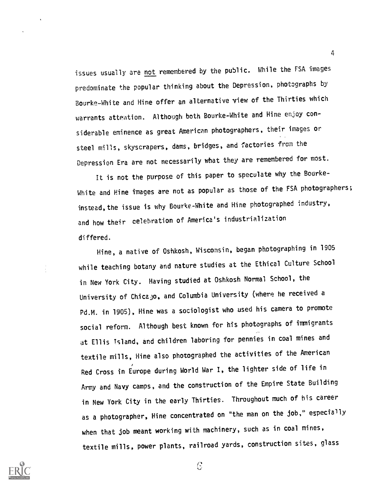issues usually are not remembered by the public. While the FSA images predominate the popular thinking about the Depression, photographs by Bourke-White and Hine offer an alternative view of the Thirties which warrants attention. Although both Bourke-White and Hine enjoy considerable eminence as great American photographers, their images or steel mills, skyscrapers, dams, bridges, and factories from the Depression Era are not necessarily what they are remembered for most.

It is not the purpose of this paper to speculate why the Bourke-White and Hine images are not as popular as those of the FSA photographers; instead, the issue is why Bourke-White and Hine photographed industry, and how their celebration of America's industrialization differed.

Hine, a native of Oshkosh, Wisconsin, began photographing in 1905 while teaching botany and nature studies at the Ethical Culture School in New York City. Having studied at Oshkosh Normal School, the University of Chicajo, and Columbia University (where he received a Pd.M. in 1905), Hine was a sociologist who used his camera to promote social reform. Although best known for his photographs of immigrants at Ellis Island, and children laboring for pennies in coal mines and textile mills, Hine also photographed the activities of the American Red Cross in Europe during World War I, the lighter side of life in Army and Navy camps, and the construction of the Empire State Building in New York City in the early Thirties. Throughout much of his career as a photographer, Hine concentrated on "the man on the job," especially when that job meant working with machinery, such as in coal mines, textile mills, power plants, railroad yards, construction sites, glass



 $\mathcal{C}$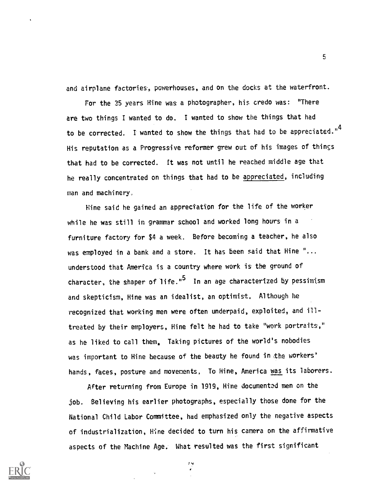and airplane factories, powerhouses, and on the docks at the waterfront.

For the 35 years Hine was a photographer, his credo was: "There are two things I wanted to do. I wanted to show the things that had to be corrected. I wanted to show the things that had to be appreciated." $\overline{ }$ His reputation as a Progressive reformer grew out of his images of things that had to be corrected. it was not until he reached middle age that he really concentrated on things that had to be appreciated, including man and machinery,

Hine said he gained an appreciation for the life of the worker while he was still in grammar school and worked long hours in a furniture factory for \$4 a week. Before becoming a teacher, he also was employed in a bank and a store. It has been said that Hine "... understood that America is a country where work is- the ground of character, the shaper of life." $5$  In an age characterized by pessimism and skepticism, Hine was an idealist, an optimist. Although he recognized that working men were often underpaid, exploited, and illtreated by their employers, Hine felt he had to take "work portraits," as he liked to call them. Taking pictures of the world's nobodies was important to Hine because of the beauty he found in the workers' hands, faces, posture and movements, To Hine, America was its laborers.

After returning from Europe in 1919, Hine documented men on the job. Believing his earlier photographs, especially those done for the National Child Labor Committee, had emphasized only the negative aspects of industrialization, Hine decided to turn his camera on the affirmative aspects of the Machine Age. What resulted was the first significant

 $\mathbf{H}$ 



**3** (1995)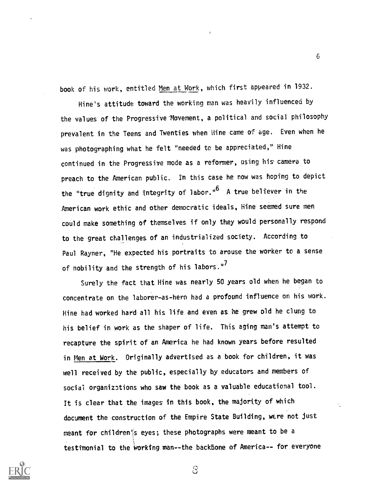book of his work, entitled Men at Work, which first appeared in 1932.

6

Hine's attitude toward the working man was heavily influenced by the values of the Progressive Movement, a political and social philosophy prevalent in the Teens and Twenties when Hine came of age. Even when he was photographing what he felt "needed to be appreciated," Hine continued in the Progressive mode as a reformer, using his camera to preach to the American public. In this case he now was hoping to depict the "true dignity and integrity of labor."<sup>6</sup> A true believer in the American work ethic and other democratic ideals, Hine seemed sure men could make something of themselves if only they would personally respond to the great challenges of an industrialized society. According to Paul Rayner, "He expected his portraits to arouse the worker to a sense of nobility and the strength of his labors."<sup>7</sup>

Surely the fact that Hine was nearly 50 years old when he began to concentrate on the laborer-as-hero had a profound influence on his work. Hine had worked hard all his life and even as he grew old he clung to his belief in work as the shaper of life. This aging man's attempt to recapture the spirit of an America he had known years before resulted in Men at Work. Originally advertised as a book for children, it was well received by the public, especially by educators and members of social organizations who saw the book as a valuable educational tool. It is clear that the images in this book, the majority of which document the construction of the Empire State Building, were not just meant for children'js eyes; these photographs were meant to be a testimonial to the working man--the backbone of America-- for everyone

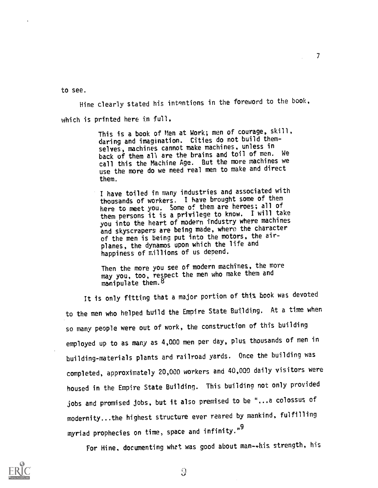to see.

Hine clearly stated his intentions in the foreword to the book, which is printed here in full.

> This is a book of Men at Work; men of courage, skill daring and imagination. Cities do not build themselves, machines cannot make machines, unless in back of them all are the brains and toil of men. We call this the Machine Age. But the more machines we use the more do we need real men to make and direct them

 $\mathcal{T}$  and  $\mathcal{T}$ 

I have toiled in many industries and associated with thousands of workers. I have brought some of them here to meet you. Some of them are heroes; all of them persons it is a privilege to know. T will take you into the heart of modern industry where machines and skyscrapers are being made, where the character of the men is being put into the motors, the airplanes, the dynamos upon which the life and happiness of millions of us depend.

Then the more you see of modern machines, the more may you, too, respect the men who make them and manipulate them.<sup>8</sup>

It is only fitting that a major portion of this book was devoted to the men who helped build the Empire State Building. At a time when so many people were out of work, the construction of this building employed up to as many as 4,000 men per day, plus thousands of men in building-materials plants and railroad yards. Once the building was completed, approximately 20,000 workers and 40,000 daily visitors were housed in the Empire State Building. This building not only provided jobs and promised jobs, but it also premised to be ",..a colossus of modernity...the highest structure ever reared by mankind, fulfilling myriad prophecies on time, space and infinity."<sup>9</sup>

For Hine, documenting whet was good about man-ehis strength, his

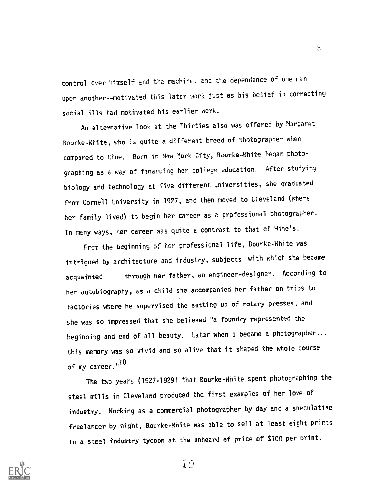control over himself and the machine, and the dependence of one man upon another--motivated this later work just as his belief in correcting social ills had motivated his earlier work.

An alternative look at the Thirties also was offered by Margaret Bourke-White, who is quite a different breed of photographer when compared to Hine. Born in New York City, Bourke-White began photographing as a way of financing her college education. After studying biology and technology at five different universities, she graduated from Cornell University in 1927, and then moved to Cleveland (where her family lived) to begin her career as a professional photographer. In many ways, her career was quite a contrast to that of Hine's.

From the beginning of her professional life, Bourke-White was intrigued by architecture and industry, subjects with which she became acquainted through her father, an engineer-designer. According to her autobiography, as a child she accompanied her father on trips to factories where he supervised the setting up of rotary presses, and she was so impressed that she believed "a foundry represented the beginning and end of all beauty. Later when I became a photographer... this memory was so vivid and so alive that it shaped the whole course of my career."<sup>IU</sup>

The two years (1927-1929) that Bourke-White spent photographing the steel mills in Cleveland produced the first examples of her love of industry. Working as a commercial photographer by day and a speculative freelancer by night, Rourke-White was able to sell at least eight prints to a steel industry tycoon at the unheard of price of \$100 per print.



 $\mathbf{D}$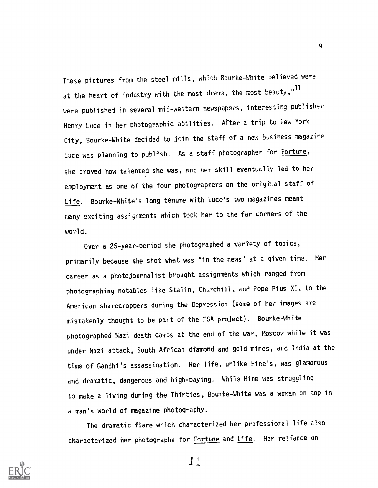These pictures from the steel mills, which Bourke-White believed were at the heart of industry with the most drama, the most beauty," $^{\rm II}$ were published in several mid-western newspapers, interesting publisher Henry Luce in her photographic abilities. After a trip to New York City, Bourke-White decided to join the staff of a new business magazine Luce was planning to publish. As a staff photographer for Fortune, she proved how talented she was, and her skill eventually led to her employment as one of the four photographers on the original staff of Life. Bourke-White's long tenure with Luce's two magazines meant many exciting assignments which took her to the far corners of the world.

Over a 26-year-period she photographed a variety of topics, primarily because she shot whet was "in the news" at a given time. Her career as a photojournalist brought assignments which ranged from photographing notables like Stalin, Churchill, and Pope Pius XI, to the American sharecroppers during the Depression (some of her images are mistakenly thought to be part of the FSA project). Bourke-White photographed Nazi death camps at the end of the war, Moscow while it was under Nazi attack, South African diamond and gold mines, and India at the time of Gandhi's assassination. Her life, unlike Nine's, was glamorous and dramatic, dangerous and high-paying. While Hine was strugcling to make a living during the Thirties, Bourke-White was a woman on top in a man's world of magazine photography.

The dramatic flare which characterized her professional life also characterized her photographs for Fortune and Life. Her reliance on



 $1^{\circ}$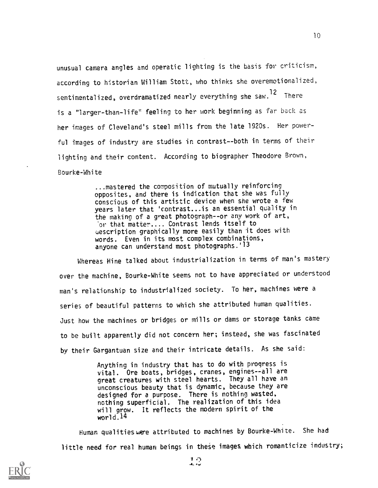unusual camera angles and operatic lighting is the basis for criticism, according to historian William Stott, who thinks she overemotionalized, sentimentalized, overdramatized nearly everything she saw.<sup>12</sup> There is a "larger-than-life" feeling to her work beginning as far back as her images of Cleveland's steel mills from the late 1920s. Her powerful images of industry are studies in contrast--both in terms of their lighting and their content. According to biographer Theodore Brown, Bourke-Whi te

> ...mastered the composition of mutually reinforcing opposites, and there is indication that she was fully conscious of this artistic device when she wrote a few years later that 'contrast... is an essential quality in the making of a great photograph--or any work of art, or that matter.... Contrast lends itself to uescription graphically more easily than it does with words. Even in its most complex combinations, anyone can understand most photographs.'<sup>13</sup>

Whereas Hine talked about industrialization in terms of man's mastery over the machine, Bourke-White seems not to have appreciated or understood man's relationship to industrialized society. To her, machines were a series of beautiful patterns to which she attributed human qualities. Just how the machines or bridges or mills or dams or storage tanks came to be built apparently did not concern her; instead, she was fascinated by their Gargantuan size and their intricate details. As she said:

> Anything in industry that has to do with progress is vital. Ore boats, bridges, cranes, engines--all are great creatures with steel hearts. They all have an unconscious beauty that is dynamic, because they are designed for a purpose. There is nothing wasted, nothing superficial. The realization of this idea will grow. It reflects the modern spirit of the world. $14$

Human qualities were attributed to machines by Bourke-White. She had little need for real human beings in these images which romanticize industry;

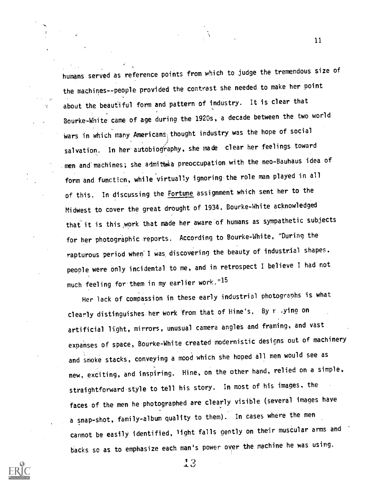humans served as reference points from which to judge the tremendous size of the machines -- people provided the contrast she needed to make her point about the beautiful form and pattern of industry. It is clear that Bourke-White. came of age during the 1920s, a decade between the two world wars in which many Americans thought industry was the hope of social salvation. In her autobiography, she made clear her feelings toward men and' machines; she admitbeia preoccupation with the neo-Bauhaus idea of form and function, while virtually ignoring the role man played in all of this. In discussing the Fortune assignment which sent her to the Midwest to cover the great drought of 1934, Bourke-White acknowledged that it is this work that made her aware of humans as sympathetic subjects for her photographic. reports. According to Bourke-White, "During the rapturous period when I was discovering the beauty of industrial shapes. people were only incidental to me, and in retrospect I believe I had not much feeling for'them in my earlier work."15

Her lack of compassion in these early industrial photographs is what clearly distinguishes her work from that of Hine's, By raying on artificial light, mirrors, unusual camera angles and framing, and vast expanses of space, Bourke-White created modernistic designs out of machinery and smoke stacks, conveying a mood which she hoped all men would see as new, exciting, and inspiring. Hine, on the other hand, relied on a simple, straightforward.style to tell his story. In most of his images, the faces of the men he photographed are clearly visible (several images have a snap-shot, family-album quality to them). In cases where the men cannot be easily identified, light falls gently on their muscular arms and backs Sc as to emphasize each man's power over the machine he was using.



11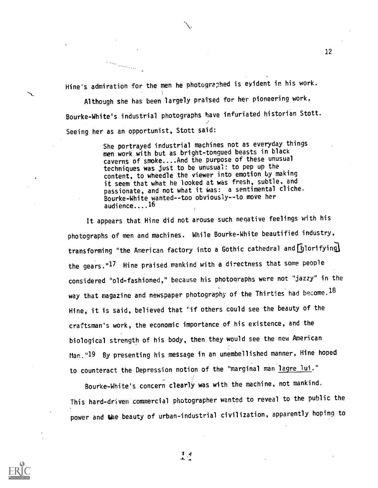Hine's admiration for the men he photographed is evident in his work.

 $\left\langle \cdot , \cdot \right\rangle_{\left\langle \cdot , \cdot \right\rangle_{\left\langle \cdot , \cdot \right\rangle_{\left\langle \cdot , \cdot \right\rangle_{\left\langle \cdot , \cdot \right\rangle_{\left\langle \cdot , \cdot \right\rangle_{\left\langle \cdot , \cdot \right\rangle_{\left\langle \cdot , \cdot \right\rangle_{\left\langle \cdot , \cdot \right\rangle_{\left\langle \cdot , \cdot \right\rangle_{\left\langle \cdot , \cdot \right\rangle_{\left\langle \cdot , \cdot \right\rangle_{\left\langle \cdot , \cdot \right\rangle_{\left\langle \cdot , \cdot \right\rangle_{\left\langle \cdot , \cdot \right\rangle_{\left\langle \cdot , \cdot \$ 

Although she has been largely praised for her pioneering work, Bourke-White's industrial photographs have infuriated historian Stott. Seeing her as an opportunist, Stott said:

> She portrayed industrial machines not as everyday things men work with but as bright-tongued beasts in black caverns of smoke....And the purpose of these unusual techniques was just to be unusual: to pep up the content, to wheedle the viewer into emotion by making it seem that what he looked at was fresh, subtle, and passionate, and not what it Was: a sentimental cliche. Bourke-White wanted--too obviously--to move her audience....16

It appears that Hine did not arouse such negative feelings with his photographs of men and machines. While Bourke-White beautified industry, transforming "the American factory into a Gothic cathedral and  $6$ lorifying the gears."17 Hine praised mankind with a directness that some people considered "old-fashioned," because his photographs were not "jazzy" in the way that magazine and newspaper photography of the Thirties had become.  $^{18}$ Hine, it is said, believed that "if others could see the beauty of the craftsman's work, the economic importance of his existence, and the biological strength of his body, then they would see the new American Man."19 By presenting his message in an unembellished manner, Hine hoped to counteract the Depression notion of the "marginal man lagre lui."

Bourke-White's concern clearly was with the machine, not mankind. This hard-driven commercial photographer wanted to reveal to the public the power and the beauty of urban-industrial civilization, apparently hoping to





 $\frac{1}{4}$ ,  $\frac{4}{4}$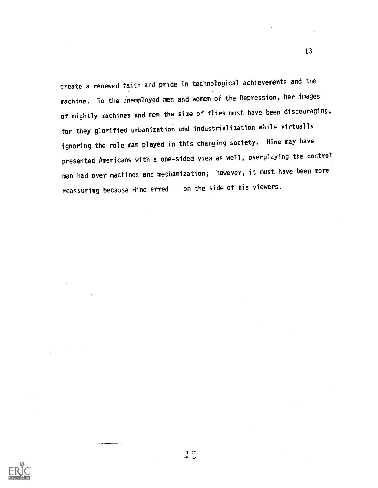create a renewed faith and pride in technological achievements and the machine. To the unemployed men and women of the Depression, her images of mightly machines and men the size of flies must have been discouraging, for they glorified urbanization and industrialization while virtually ignoring the role man played in this changing society. Hine may have presented Americans with a one-sided view as well, overplaying the control man had over machines and mechanization; however, it must have been more reassuring because Hine erred on the side of his viewers.



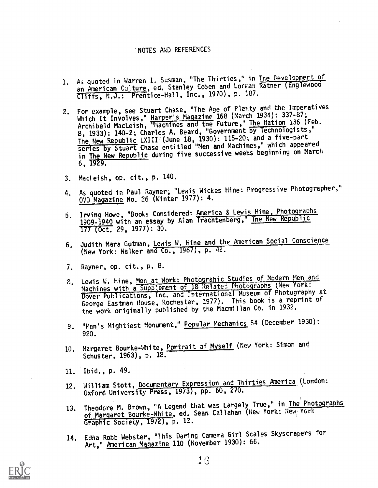## NOTES AND REFERENCES

- 1. As quoted in Warren I. Susman, "The Thirties," in The Development of an American Culture, ed. Stanley Coben and Lorman Ratner (Englewood Cliffs, N.J.: Prentice-Hall, Inc., 1970), p. 187.
- 2. For example, see Stuart Chase, "The Age of Plenty and the Imperatives Which It Involves," Harper's Magazine 168 (March 1934): 337-87;<br>Which It Involves," Harper's Magazine Islam "The Nation 136 (Eeb Archibald MacLeish, Thachines and the Future," The Nation 136 (Feb.<br>Archibald MacLeish, Thachines and the USemment by Technologists." 8, 1933): 140-2; Charles A. Beard, "Government by Technologists," The New Republic LXIII (June 18, 1930): 115-20; and a five-part series by Stuart Chase entitled "Men and Machines," which appeared in The New Republic during five successive weeks beginning on March  $6, 1929.$
- 3. Macleish, op. cit., p. 140.
- 4. As quoted in Paul Rayner, "Lewis Wickes Hine: Progressive Photographer," OVO Magazine No. 26 (Winter 1977): 4.
- 5. Irving Howe, "Books Considered: America & Lewis Hine, Photographs 1909-1940 with an essay by Alan Trachtenberg," Ine New Republic 177-(Oct. 29, 1977): 30.
- 6. Judith Mara Gutman, Lewis W. Hine and the American Social Conscience (New York: Walker and Co., 1967), p. 42.
- 7, Rayner, op. cit., p. 8.
- 8. Lewis W. Hine, Men at Work: Photograhic Studies of Modern Men and Machines with a Supp'ement of 18 Related Photographs (New York: Dover Publications, Inc. and International Museum of Photography at George Eastman House, Rochester, 1977). This book is a reprint of the work originally published by the Macmillan Co. in 1932.
- 9. "Man's Mightiest Monument," Popular Mechanics 54 (December 1930): 920.
- 10. Margaret Bourke-White, Portrait of Myself (New York: Simon and Schuster, 1963), p. 18.
- 11. Ibid., p. 49,
- 12. William Stott, Documentary Expression and Thirties America (London: Oxford University Press,  $1973$ , pp. 60, 270.
- 13. Theodore M. Brown, "A Legend that was Largely True," in The Photographs of Margaret Bourke-White, ed. Sean Callahan (New York: New York Graphic Society, 1972), p. 12.
- 14. Edna Robb Webster, "This Daring Camera Girl Scales Skyscrapers for Art," American Magazine 110 (November 1930): 66.